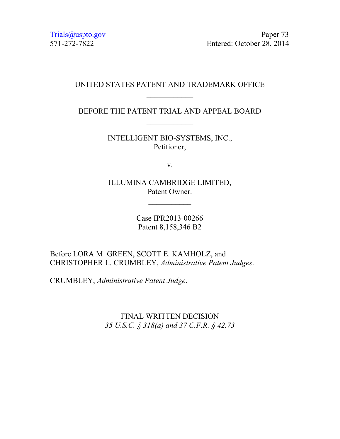Trials@uspto.gov Paper 73 571-272-7822 Entered: October 28, 2014

## UNITED STATES PATENT AND TRADEMARK OFFICE

BEFORE THE PATENT TRIAL AND APPEAL BOARD  $\frac{1}{2}$ 

> INTELLIGENT BIO-SYSTEMS, INC., Petitioner,

> > v.

ILLUMINA CAMBRIDGE LIMITED, Patent Owner.

 $\frac{1}{2}$ 

Case IPR2013-00266 Patent 8,158,346 B2

 $\frac{1}{2}$ 

Before LORA M. GREEN, SCOTT E. KAMHOLZ, and CHRISTOPHER L. CRUMBLEY, *Administrative Patent Judges*.

CRUMBLEY, *Administrative Patent Judge*.

FINAL WRITTEN DECISION *35 U.S.C. § 318(a) and 37 C.F.R. § 42.73*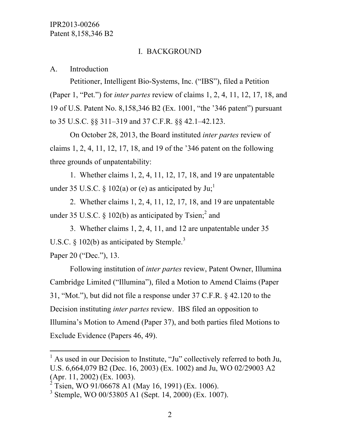# I. BACKGROUND

A. Introduction

Petitioner, Intelligent Bio-Systems, Inc. ("IBS"), filed a Petition (Paper 1, "Pet.") for *inter partes* review of claims 1, 2, 4, 11, 12, 17, 18, and 19 of U.S. Patent No. 8,158,346 B2 (Ex. 1001, "the '346 patent") pursuant to 35 U.S.C. §§ 311–319 and 37 C.F.R. §§ 42.1–42.123.

On October 28, 2013, the Board instituted *inter partes* review of claims 1, 2, 4, 11, 12, 17, 18, and 19 of the '346 patent on the following three grounds of unpatentability:

1. Whether claims 1, 2, 4, 11, 12, 17, 18, and 19 are unpatentable under 35 U.S.C. § 102(a) or (e) as anticipated by  $Ju_i^1$ 

2. Whether claims 1, 2, 4, 11, 12, 17, 18, and 19 are unpatentable under 35 U.S.C. § 102(b) as anticipated by Tsien;<sup>2</sup> and

3. Whether claims 1, 2, 4, 11, and 12 are unpatentable under 35 U.S.C.  $\&$  102(b) as anticipated by Stemple.<sup>3</sup>

Paper 20 ("Dec."), 13.

l

Following institution of *inter partes* review, Patent Owner, Illumina Cambridge Limited ("Illumina"), filed a Motion to Amend Claims (Paper 31, "Mot."), but did not file a response under 37 C.F.R. § 42.120 to the Decision instituting *inter partes* review. IBS filed an opposition to Illumina's Motion to Amend (Paper 37), and both parties filed Motions to Exclude Evidence (Papers 46, 49).

<sup>&</sup>lt;sup>1</sup> As used in our Decision to Institute, "Ju" collectively referred to both Ju, U.S. 6,664,079 B2 (Dec. 16, 2003) (Ex. 1002) and Ju, WO 02/29003 A2 (Apr. 11, 2002) (Ex. 1003).

<sup>&</sup>lt;sup>2</sup> Tsien, WO 91/06678 A1 (May 16, 1991) (Ex. 1006).

<sup>3</sup> Stemple, WO 00/53805 A1 (Sept. 14, 2000) (Ex. 1007).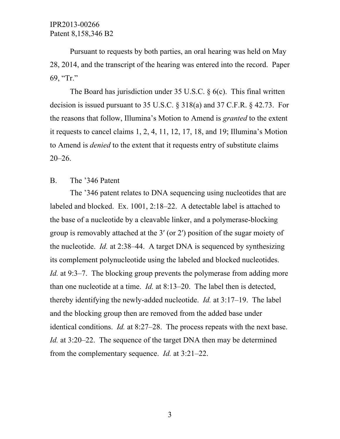Pursuant to requests by both parties, an oral hearing was held on May 28, 2014, and the transcript of the hearing was entered into the record. Paper 69, "Tr."

 The Board has jurisdiction under 35 U.S.C. § 6(c). This final written decision is issued pursuant to 35 U.S.C. § 318(a) and 37 C.F.R. § 42.73. For the reasons that follow, Illumina's Motion to Amend is *granted* to the extent it requests to cancel claims 1, 2, 4, 11, 12, 17, 18, and 19; Illumina's Motion to Amend is *denied* to the extent that it requests entry of substitute claims 20–26.

## B. The '346 Patent

The '346 patent relates to DNA sequencing using nucleotides that are labeled and blocked. Ex. 1001, 2:18–22. A detectable label is attached to the base of a nucleotide by a cleavable linker, and a polymerase-blocking group is removably attached at the 3ʹ (or 2ʹ) position of the sugar moiety of the nucleotide. *Id.* at 2:38–44. A target DNA is sequenced by synthesizing its complement polynucleotide using the labeled and blocked nucleotides. *Id.* at 9:3–7. The blocking group prevents the polymerase from adding more than one nucleotide at a time. *Id.* at 8:13–20. The label then is detected, thereby identifying the newly-added nucleotide. *Id.* at 3:17–19. The label and the blocking group then are removed from the added base under identical conditions. *Id.* at 8:27–28. The process repeats with the next base. *Id.* at 3:20–22. The sequence of the target DNA then may be determined from the complementary sequence. *Id.* at 3:21–22.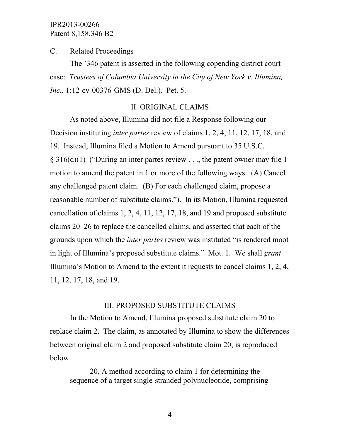C. Related Proceedings

The '346 patent is asserted in the following copending district court case: *Trustees of Columbia University in the City of New York v. Illumina, Inc.*, 1:12-cv-00376-GMS (D. Del.). Pet. 5.

## II. ORIGINAL CLAIMS

As noted above, Illumina did not file a Response following our Decision instituting *inter partes* review of claims 1, 2, 4, 11, 12, 17, 18, and 19. Instead, Illumina filed a Motion to Amend pursuant to 35 U.S.C. § 316(d)(1) ("During an inter partes review . . ., the patent owner may file 1 motion to amend the patent in 1 or more of the following ways: (A) Cancel any challenged patent claim. (B) For each challenged claim, propose a reasonable number of substitute claims."). In its Motion, Illumina requested cancellation of claims 1, 2, 4, 11, 12, 17, 18, and 19 and proposed substitute claims 20–26 to replace the cancelled claims, and asserted that each of the grounds upon which the *inter partes* review was instituted "is rendered moot in light of Illumina's proposed substitute claims." Mot. 1. We shall *grant* Illumina's Motion to Amend to the extent it requests to cancel claims 1, 2, 4, 11, 12, 17, 18, and 19.

#### III. PROPOSED SUBSTITUTE CLAIMS

 In the Motion to Amend, Illumina proposed substitute claim 20 to replace claim 2. The claim, as annotated by Illumina to show the differences between original claim 2 and proposed substitute claim 20, is reproduced below:

20. A method according to claim 1 for determining the sequence of a target single-stranded polynucleotide, comprising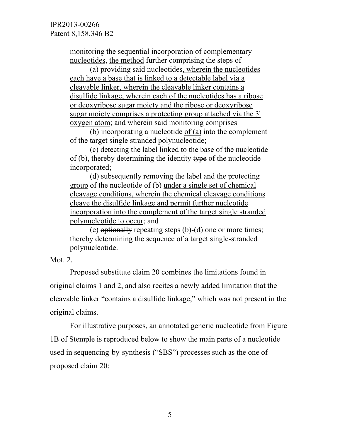monitoring the sequential incorporation of complementary nucleotides, the method further comprising the steps of

(a) providing said nucleotides, wherein the nucleotides each have a base that is linked to a detectable label via a cleavable linker, wherein the cleavable linker contains a disulfide linkage, wherein each of the nucleotides has a ribose or deoxyribose sugar moiety and the ribose or deoxyribose sugar moiety comprises a protecting group attached via the 3' oxygen atom; and wherein said monitoring comprises

(b) incorporating a nucleotide of (a) into the complement of the target single stranded polynucleotide;

(c) detecting the label linked to the base of the nucleotide of (b), thereby determining the identity type of the nucleotide incorporated;

(d) subsequently removing the label and the protecting group of the nucleotide of (b) under a single set of chemical cleavage conditions, wherein the chemical cleavage conditions cleave the disulfide linkage and permit further nucleotide incorporation into the complement of the target single stranded polynucleotide to occur; and

(e)  $\theta$  optionally repeating steps (b)-(d) one or more times; thereby determining the sequence of a target single-stranded polynucleotide.

## Mot. 2.

Proposed substitute claim 20 combines the limitations found in original claims 1 and 2, and also recites a newly added limitation that the cleavable linker "contains a disulfide linkage," which was not present in the original claims.

For illustrative purposes, an annotated generic nucleotide from Figure 1B of Stemple is reproduced below to show the main parts of a nucleotide used in sequencing-by-synthesis ("SBS") processes such as the one of proposed claim 20: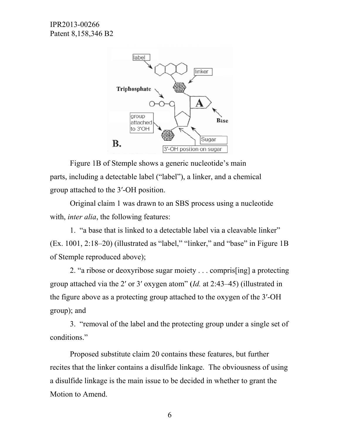

parts, including a detectable label ("label"), a linker, and a chemical group attached to the 3'-OH position. Figure 1B of Stemple shows a generic nucleotide's main

with, *inter alia*, the following features: Original claim 1 was drawn to an SBS process using a nucleotide

 $(Ex. 1001, 2:18-20)$  (illustrated as "label," "linker," and "base" in Figure 1B of Stemple reproduced above); 1. "a base that is linked to a detectable label via a cleavable linker"

group attached via the 2' or 3' oxygen atom" (*Id.* at 2:43–45) (illustrated in the figure above as a protecting group attached to the oxygen of the 3'-OH group); and 2. "a ribose or deoxyribose sugar moiety . . . compris[ing] a protecting B<br>ng<br>of

conditions." 3. "removal of the label and the protecting group under a single set o

recites that the linker contains a disulfide linkage. The obviousness of using a disulfide linkage is the main issue to be decided in whether to grant the Motion to Amend. Proposed substitute claim 20 contains these features, but further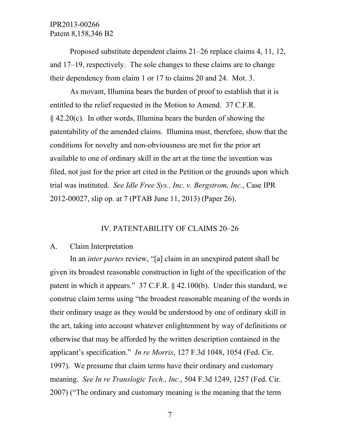Proposed substitute dependent claims 21–26 replace claims 4, 11, 12, and 17–19, respectively. The sole changes to these claims are to change their dependency from claim 1 or 17 to claims 20 and 24. Mot. 3.

 As movant, Illumina bears the burden of proof to establish that it is entitled to the relief requested in the Motion to Amend. 37 C.F.R. § 42.20(c). In other words, Illumina bears the burden of showing the patentability of the amended claims. Illumina must, therefore, show that the conditions for novelty and non-obviousness are met for the prior art available to one of ordinary skill in the art at the time the invention was filed, not just for the prior art cited in the Petition or the grounds upon which trial was instituted. *See Idle Free Sys., Inc. v. Bergstrom, Inc.*, Case IPR 2012-00027, slip op. at 7 (PTAB June 11, 2013) (Paper 26).

### IV. PATENTABILITY OF CLAIMS 20–26

#### A. Claim Interpretation

 In an *inter partes* review, "[a] claim in an unexpired patent shall be given its broadest reasonable construction in light of the specification of the patent in which it appears." 37 C.F.R. § 42.100(b). Under this standard, we construe claim terms using "the broadest reasonable meaning of the words in their ordinary usage as they would be understood by one of ordinary skill in the art, taking into account whatever enlightenment by way of definitions or otherwise that may be afforded by the written description contained in the applicant's specification." *In re Morris*, 127 F.3d 1048, 1054 (Fed. Cir. 1997). We presume that claim terms have their ordinary and customary meaning. *See In re Translogic Tech., Inc.*, 504 F.3d 1249, 1257 (Fed. Cir. 2007) ("The ordinary and customary meaning is the meaning that the term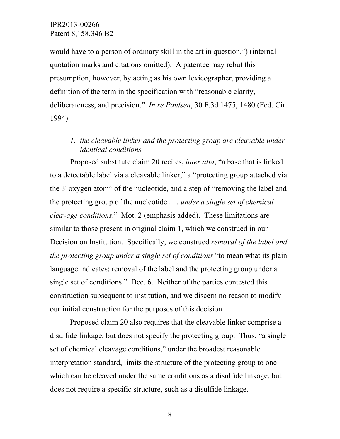would have to a person of ordinary skill in the art in question.") (internal quotation marks and citations omitted). A patentee may rebut this presumption, however, by acting as his own lexicographer, providing a definition of the term in the specification with "reasonable clarity, deliberateness, and precision." *In re Paulsen*, 30 F.3d 1475, 1480 (Fed. Cir. 1994).

# *1. the cleavable linker and the protecting group are cleavable under identical conditions*

 Proposed substitute claim 20 recites, *inter alia*, "a base that is linked to a detectable label via a cleavable linker," a "protecting group attached via the 3' oxygen atom" of the nucleotide, and a step of "removing the label and the protecting group of the nucleotide . . . *under a single set of chemical cleavage conditions*." Mot. 2 (emphasis added). These limitations are similar to those present in original claim 1, which we construed in our Decision on Institution. Specifically, we construed *removal of the label and the protecting group under a single set of conditions* "to mean what its plain language indicates: removal of the label and the protecting group under a single set of conditions." Dec. 6. Neither of the parties contested this construction subsequent to institution, and we discern no reason to modify our initial construction for the purposes of this decision.

 Proposed claim 20 also requires that the cleavable linker comprise a disulfide linkage, but does not specify the protecting group. Thus, "a single set of chemical cleavage conditions," under the broadest reasonable interpretation standard, limits the structure of the protecting group to one which can be cleaved under the same conditions as a disulfide linkage, but does not require a specific structure, such as a disulfide linkage.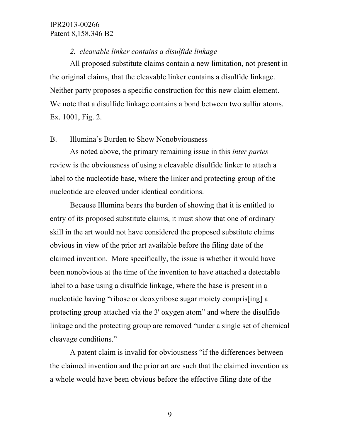#### *2. cleavable linker contains a disulfide linkage*

 All proposed substitute claims contain a new limitation, not present in the original claims, that the cleavable linker contains a disulfide linkage. Neither party proposes a specific construction for this new claim element. We note that a disulfide linkage contains a bond between two sulfur atoms. Ex. 1001, Fig. 2.

#### B. Illumina's Burden to Show Nonobviousness

As noted above, the primary remaining issue in this *inter partes* review is the obviousness of using a cleavable disulfide linker to attach a label to the nucleotide base, where the linker and protecting group of the nucleotide are cleaved under identical conditions.

Because Illumina bears the burden of showing that it is entitled to entry of its proposed substitute claims, it must show that one of ordinary skill in the art would not have considered the proposed substitute claims obvious in view of the prior art available before the filing date of the claimed invention. More specifically, the issue is whether it would have been nonobvious at the time of the invention to have attached a detectable label to a base using a disulfide linkage, where the base is present in a nucleotide having "ribose or deoxyribose sugar moiety compris[ing] a protecting group attached via the 3' oxygen atom" and where the disulfide linkage and the protecting group are removed "under a single set of chemical cleavage conditions."

A patent claim is invalid for obviousness "if the differences between the claimed invention and the prior art are such that the claimed invention as a whole would have been obvious before the effective filing date of the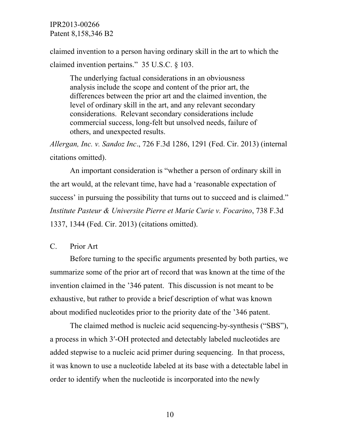claimed invention to a person having ordinary skill in the art to which the claimed invention pertains." 35 U.S.C. § 103.

The underlying factual considerations in an obviousness analysis include the scope and content of the prior art, the differences between the prior art and the claimed invention, the level of ordinary skill in the art, and any relevant secondary considerations. Relevant secondary considerations include commercial success, long-felt but unsolved needs, failure of others, and unexpected results.

*Allergan, Inc. v. Sandoz Inc*., 726 F.3d 1286, 1291 (Fed. Cir. 2013) (internal citations omitted).

An important consideration is "whether a person of ordinary skill in the art would, at the relevant time, have had a 'reasonable expectation of success' in pursuing the possibility that turns out to succeed and is claimed." *Institute Pasteur & Universite Pierre et Marie Curie v. Focarino*, 738 F.3d 1337, 1344 (Fed. Cir. 2013) (citations omitted).

C. Prior Art

 Before turning to the specific arguments presented by both parties, we summarize some of the prior art of record that was known at the time of the invention claimed in the '346 patent. This discussion is not meant to be exhaustive, but rather to provide a brief description of what was known about modified nucleotides prior to the priority date of the '346 patent.

 The claimed method is nucleic acid sequencing-by-synthesis ("SBS"), a process in which 3ʹ-OH protected and detectably labeled nucleotides are added stepwise to a nucleic acid primer during sequencing. In that process, it was known to use a nucleotide labeled at its base with a detectable label in order to identify when the nucleotide is incorporated into the newly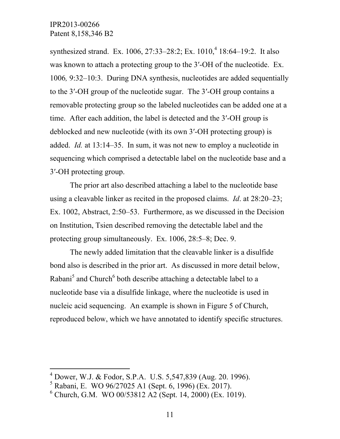synthesized strand. Ex. 1006, 27:33–28:2; Ex. 1010,<sup>4</sup> 18:64–19:2. It also was known to attach a protecting group to the 3ʹ-OH of the nucleotide. Ex. 1006*,* 9:32–10:3. During DNA synthesis, nucleotides are added sequentially to the 3ʹ-OH group of the nucleotide sugar. The 3ʹ-OH group contains a removable protecting group so the labeled nucleotides can be added one at a time. After each addition, the label is detected and the 3ʹ-OH group is deblocked and new nucleotide (with its own 3ʹ-OH protecting group) is added. *Id.* at 13:14–35. In sum, it was not new to employ a nucleotide in sequencing which comprised a detectable label on the nucleotide base and a 3ʹ-OH protecting group.

The prior art also described attaching a label to the nucleotide base using a cleavable linker as recited in the proposed claims. *Id*. at 28:20–23; Ex. 1002, Abstract, 2:50–53. Furthermore, as we discussed in the Decision on Institution, Tsien described removing the detectable label and the protecting group simultaneously. Ex. 1006, 28:5–8; Dec. 9.

The newly added limitation that the cleavable linker is a disulfide bond also is described in the prior art. As discussed in more detail below, Rabani<sup>5</sup> and Church<sup>6</sup> both describe attaching a detectable label to a nucleotide base via a disulfide linkage, where the nucleotide is used in nucleic acid sequencing. An example is shown in Figure 5 of Church, reproduced below, which we have annotated to identify specific structures.

-

 $4$  Dower, W.J. & Fodor, S.P.A. U.S. 5,547,839 (Aug. 20. 1996).

<sup>5</sup> Rabani, E. WO 96/27025 A1 (Sept. 6, 1996) (Ex. 2017).

<sup>6</sup> Church, G.M. WO 00/53812 A2 (Sept. 14, 2000) (Ex. 1019).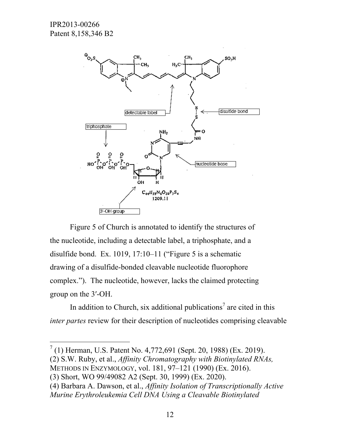l



Figure 5 of Church is annotated to identify the structures of the nucleotide, including a detectable label, a triphosphate, and a disulfide bond. Ex. 1019, 17:10–11 ("Figure 5 is a schematic drawing of a disulfide-bonded cleavable nucleotide fluorophore complex."). The nucleotide, however, lacks the claimed protecting group on the 3ʹ-OH.

In addition to Church, six additional publications<sup>7</sup> are cited in this *inter partes* review for their description of nucleotides comprising cleavable

- (3) Short, WO 99/49082 A2 (Sept. 30, 1999) (Ex. 2020).
- (4) Barbara A. Dawson, et al., *Affinity Isolation of Transcriptionally Active Murine Erythroleukemia Cell DNA Using a Cleavable Biotinylated*

 $7(1)$  Herman, U.S. Patent No. 4,772,691 (Sept. 20, 1988) (Ex. 2019).

<sup>(2)</sup> S.W. Ruby, et al., *Affinity Chromatography with Biotinylated RNAs,*  METHODS IN ENZYMOLOGY, vol. 181, 97–121 (1990) (Ex. 2016).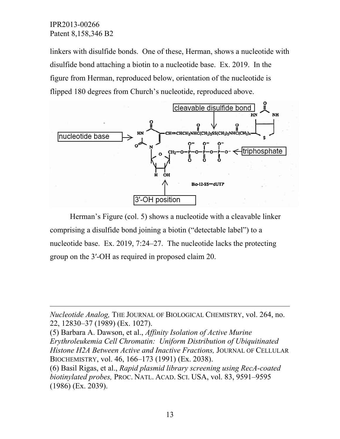$\overline{a}$ 

linkers with disulfide bonds. One of these, Herman, shows a nucleotide with disulfide bond attaching a biotin to a nucleotide base. Ex. 2019. In the figure from Herman, reproduced below, orientation of the nucleotide is flipped 180 degrees from Church's nucleotide, reproduced above.



Herman's Figure (col. 5) shows a nucleotide with a cleavable linker comprising a disulfide bond joining a biotin ("detectable label") to a nucleotide base. Ex. 2019, 7:24–27. The nucleotide lacks the protecting group on the 3ʹ-OH as required in proposed claim 20.

*Nucleotide Analog,* THE JOURNAL OF BIOLOGICAL CHEMISTRY, vol. 264, no. 22, 12830–37 (1989) (Ex. 1027).

(5) Barbara A. Dawson, et al., *Affinity Isolation of Active Murine Erythroleukemia Cell Chromatin: Uniform Distribution of Ubiquitinated Histone H2A Between Active and Inactive Fractions,* JOURNAL OF CELLULAR BIOCHEMISTRY, vol. 46, 166–173 (1991) (Ex. 2038).

(6) Basil Rigas, et al., *Rapid plasmid library screening using RecA-coated biotinylated probes,* PROC. NATL. ACAD. SCI. USA, vol. 83, 9591–9595 (1986) (Ex. 2039).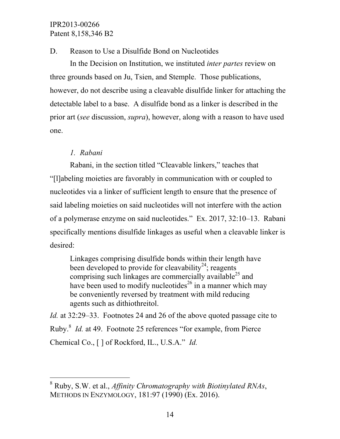D. Reason to Use a Disulfide Bond on Nucleotides

In the Decision on Institution, we instituted *inter partes* review on three grounds based on Ju, Tsien, and Stemple. Those publications, however, do not describe using a cleavable disulfide linker for attaching the detectable label to a base. A disulfide bond as a linker is described in the prior art (*see* discussion, *supra*), however, along with a reason to have used one.

## *1. Rabani*

-

Rabani, in the section titled "Cleavable linkers," teaches that "[l]abeling moieties are favorably in communication with or coupled to nucleotides via a linker of sufficient length to ensure that the presence of said labeling moieties on said nucleotides will not interfere with the action of a polymerase enzyme on said nucleotides." Ex. 2017, 32:10–13. Rabani specifically mentions disulfide linkages as useful when a cleavable linker is desired:

Linkages comprising disulfide bonds within their length have been developed to provide for cleavability<sup>24</sup>; reagents comprising such linkages are commercially available<sup>25</sup> and have been used to modify nucleotides<sup>26</sup> in a manner which may be conveniently reversed by treatment with mild reducing agents such as dithiothreitol.

*Id.* at 32:29–33. Footnotes 24 and 26 of the above quoted passage cite to Ruby.8 *Id.* at 49. Footnote 25 references "for example, from Pierce Chemical Co., [ ] of Rockford, IL., U.S.A." *Id.*

<sup>8</sup> Ruby, S.W. et al., *Affinity Chromatography with Biotinylated RNAs*, METHODS IN ENZYMOLOGY, 181:97 (1990) (Ex. 2016).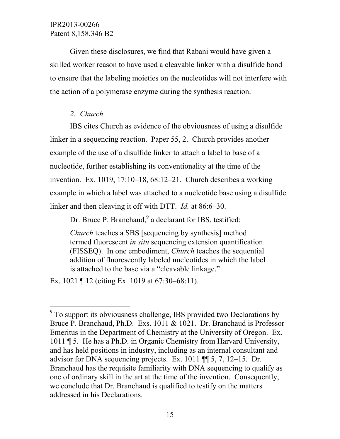Given these disclosures, we find that Rabani would have given a skilled worker reason to have used a cleavable linker with a disulfide bond to ensure that the labeling moieties on the nucleotides will not interfere with the action of a polymerase enzyme during the synthesis reaction.

# *2. Church*

-

IBS cites Church as evidence of the obviousness of using a disulfide linker in a sequencing reaction. Paper 55, 2. Church provides another example of the use of a disulfide linker to attach a label to base of a nucleotide, further establishing its conventionality at the time of the invention. Ex. 1019, 17:10–18, 68:12–21. Church describes a working example in which a label was attached to a nucleotide base using a disulfide linker and then cleaving it off with DTT. *Id.* at 86:6–30.

Dr. Bruce P. Branchaud, $9$  a declarant for IBS, testified:

*Church* teaches a SBS [sequencing by synthesis] method termed fluorescent *in situ* sequencing extension quantification (FISSEQ). In one embodiment, *Church* teaches the sequential addition of fluorescently labeled nucleotides in which the label is attached to the base via a "cleavable linkage."

Ex. 1021 ¶ 12 (citing Ex. 1019 at 67:30–68:11).

<sup>&</sup>lt;sup>9</sup> To support its obviousness challenge, IBS provided two Declarations by Bruce P. Branchaud, Ph.D. Exs. 1011 & 1021. Dr. Branchaud is Professor Emeritus in the Department of Chemistry at the University of Oregon. Ex. 1011 ¶ 5. He has a Ph.D. in Organic Chemistry from Harvard University, and has held positions in industry, including as an internal consultant and advisor for DNA sequencing projects. Ex. 1011 ¶¶ 5, 7, 12–15. Dr. Branchaud has the requisite familiarity with DNA sequencing to qualify as one of ordinary skill in the art at the time of the invention. Consequently, we conclude that Dr. Branchaud is qualified to testify on the matters addressed in his Declarations.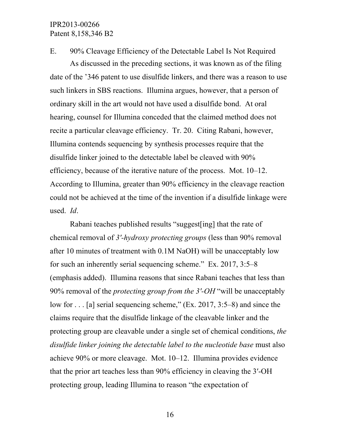E. 90% Cleavage Efficiency of the Detectable Label Is Not Required

 As discussed in the preceding sections, it was known as of the filing date of the '346 patent to use disulfide linkers, and there was a reason to use such linkers in SBS reactions. Illumina argues, however, that a person of ordinary skill in the art would not have used a disulfide bond. At oral hearing, counsel for Illumina conceded that the claimed method does not recite a particular cleavage efficiency. Tr. 20. Citing Rabani, however, Illumina contends sequencing by synthesis processes require that the disulfide linker joined to the detectable label be cleaved with 90% efficiency, because of the iterative nature of the process. Mot. 10–12. According to Illumina, greater than 90% efficiency in the cleavage reaction could not be achieved at the time of the invention if a disulfide linkage were used. *Id*.

Rabani teaches published results "suggest[ing] that the rate of chemical removal of *3'-hydroxy protecting groups* (less than 90% removal after 10 minutes of treatment with 0.1M NaOH) will be unacceptably low for such an inherently serial sequencing scheme." Ex. 2017, 3:5–8 (emphasis added). Illumina reasons that since Rabani teaches that less than 90% removal of the *protecting group from the 3ʹ-OH* "will be unacceptably low for . . . [a] serial sequencing scheme," (Ex. 2017, 3:5–8) and since the claims require that the disulfide linkage of the cleavable linker and the protecting group are cleavable under a single set of chemical conditions, *the disulfide linker joining the detectable label to the nucleotide base* must also achieve 90% or more cleavage. Mot. 10–12. Illumina provides evidence that the prior art teaches less than 90% efficiency in cleaving the 3ʹ-OH protecting group, leading Illumina to reason "the expectation of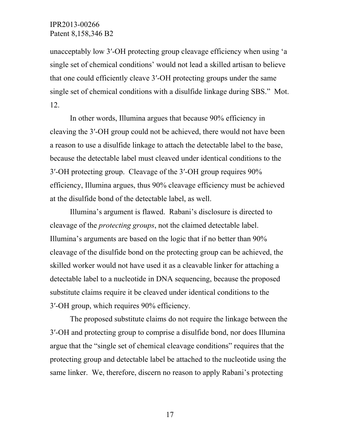unacceptably low 3ʹ-OH protecting group cleavage efficiency when using 'a single set of chemical conditions' would not lead a skilled artisan to believe that one could efficiently cleave 3ʹ-OH protecting groups under the same single set of chemical conditions with a disulfide linkage during SBS." Mot. 12.

In other words, Illumina argues that because 90% efficiency in cleaving the 3ʹ-OH group could not be achieved, there would not have been a reason to use a disulfide linkage to attach the detectable label to the base, because the detectable label must cleaved under identical conditions to the 3ʹ-OH protecting group. Cleavage of the 3ʹ-OH group requires 90% efficiency, Illumina argues, thus 90% cleavage efficiency must be achieved at the disulfide bond of the detectable label, as well.

Illumina's argument is flawed. Rabani's disclosure is directed to cleavage of the *protecting groups*, not the claimed detectable label. Illumina's arguments are based on the logic that if no better than 90% cleavage of the disulfide bond on the protecting group can be achieved, the skilled worker would not have used it as a cleavable linker for attaching a detectable label to a nucleotide in DNA sequencing, because the proposed substitute claims require it be cleaved under identical conditions to the 3ʹ-OH group, which requires 90% efficiency.

The proposed substitute claims do not require the linkage between the 3ʹ-OH and protecting group to comprise a disulfide bond, nor does Illumina argue that the "single set of chemical cleavage conditions" requires that the protecting group and detectable label be attached to the nucleotide using the same linker. We, therefore, discern no reason to apply Rabani's protecting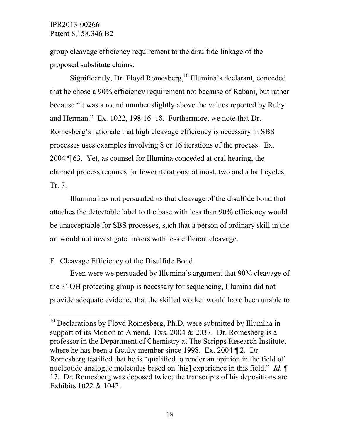group cleavage efficiency requirement to the disulfide linkage of the proposed substitute claims.

Significantly, Dr. Floyd Romesberg,  $^{10}$  Illumina's declarant, conceded that he chose a 90% efficiency requirement not because of Rabani, but rather because "it was a round number slightly above the values reported by Ruby and Herman." Ex. 1022, 198:16–18. Furthermore, we note that Dr. Romesberg's rationale that high cleavage efficiency is necessary in SBS processes uses examples involving 8 or 16 iterations of the process. Ex. 2004 ¶ 63. Yet, as counsel for Illumina conceded at oral hearing, the claimed process requires far fewer iterations: at most, two and a half cycles. Tr. 7.

Illumina has not persuaded us that cleavage of the disulfide bond that attaches the detectable label to the base with less than 90% efficiency would be unacceptable for SBS processes, such that a person of ordinary skill in the art would not investigate linkers with less efficient cleavage.

# F. Cleavage Efficiency of the Disulfide Bond

-

Even were we persuaded by Illumina's argument that 90% cleavage of the 3ʹ-OH protecting group is necessary for sequencing, Illumina did not provide adequate evidence that the skilled worker would have been unable to

 $10$  Declarations by Floyd Romesberg, Ph.D. were submitted by Illumina in support of its Motion to Amend. Exs. 2004 & 2037. Dr. Romesberg is a professor in the Department of Chemistry at The Scripps Research Institute, where he has been a faculty member since 1998. Ex. 2004 ¶ 2. Dr. Romesberg testified that he is "qualified to render an opinion in the field of nucleotide analogue molecules based on [his] experience in this field." *Id*. ¶ 17. Dr. Romesberg was deposed twice; the transcripts of his depositions are Exhibits 1022 & 1042.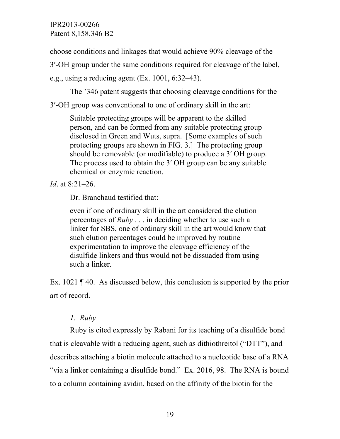choose conditions and linkages that would achieve 90% cleavage of the

3ʹ-OH group under the same conditions required for cleavage of the label,

e.g., using a reducing agent (Ex. 1001, 6:32–43).

The '346 patent suggests that choosing cleavage conditions for the

3ʹ-OH group was conventional to one of ordinary skill in the art:

Suitable protecting groups will be apparent to the skilled person, and can be formed from any suitable protecting group disclosed in Green and Wuts, supra. [Some examples of such protecting groups are shown in FIG. 3.] The protecting group should be removable (or modifiable) to produce a 3ʹ OH group. The process used to obtain the 3ʹ OH group can be any suitable chemical or enzymic reaction.

*Id*. at 8:21–26.

Dr. Branchaud testified that:

even if one of ordinary skill in the art considered the elution percentages of *Ruby* . . . in deciding whether to use such a linker for SBS, one of ordinary skill in the art would know that such elution percentages could be improved by routine experimentation to improve the cleavage efficiency of the disulfide linkers and thus would not be dissuaded from using such a linker.

Ex. 1021 ¶ 40. As discussed below, this conclusion is supported by the prior art of record.

# *1. Ruby*

Ruby is cited expressly by Rabani for its teaching of a disulfide bond that is cleavable with a reducing agent, such as dithiothreitol ("DTT"), and describes attaching a biotin molecule attached to a nucleotide base of a RNA "via a linker containing a disulfide bond." Ex. 2016, 98. The RNA is bound to a column containing avidin, based on the affinity of the biotin for the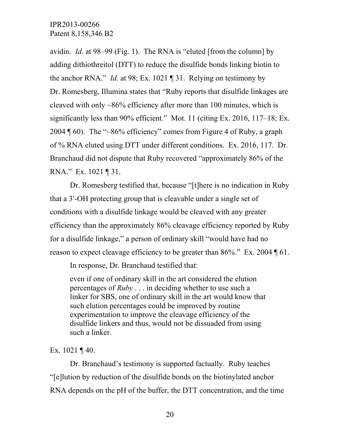avidin. *Id.* at 98–99 (Fig. 1). The RNA is "eluted [from the column] by adding dithiothreitol (DTT) to reduce the disulfide bonds linking biotin to the anchor RNA." *Id.* at 98; Ex. 1021 ¶ 31. Relying on testimony by Dr. Romesberg, Illumina states that "Ruby reports that disulfide linkages are cleaved with only  $\sim 86\%$  efficiency after more than 100 minutes, which is significantly less than 90% efficient." Mot. 11 (citing Ex. 2016, 117–18; Ex. 2004  $\degree$  60). The "~86% efficiency" comes from Figure 4 of Ruby, a graph of % RNA eluted using DTT under different conditions. Ex. 2016, 117. Dr. Branchaud did not dispute that Ruby recovered "approximately 86% of the RNA." Ex. 1021 ¶ 31.

Dr. Romesberg testified that, because "[t]here is no indication in Ruby that a 3ʹ-OH protecting group that is cleavable under a single set of conditions with a disulfide linkage would be cleaved with any greater efficiency than the approximately 86% cleavage efficiency reported by Ruby for a disulfide linkage," a person of ordinary skill "would have had no reason to expect cleavage efficiency to be greater than 86%." Ex. 2004 ¶ 61.

In response, Dr. Branchaud testified that:

even if one of ordinary skill in the art considered the elution percentages of *Ruby* . . . in deciding whether to use such a linker for SBS, one of ordinary skill in the art would know that such elution percentages could be improved by routine experimentation to improve the cleavage efficiency of the disulfide linkers and thus, would not be dissuaded from using such a linker.

Ex.  $1021 \text{ } \text{T}$  40.

Dr. Branchaud's testimony is supported factually. Ruby teaches "[e]lution by reduction of the disulfide bonds on the biotinylated anchor RNA depends on the pH of the buffer, the DTT concentration, and the time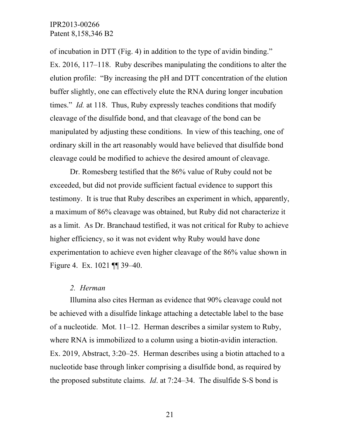of incubation in DTT (Fig. 4) in addition to the type of avidin binding." Ex. 2016, 117–118. Ruby describes manipulating the conditions to alter the elution profile: "By increasing the pH and DTT concentration of the elution buffer slightly, one can effectively elute the RNA during longer incubation times." *Id.* at 118. Thus, Ruby expressly teaches conditions that modify cleavage of the disulfide bond, and that cleavage of the bond can be manipulated by adjusting these conditions. In view of this teaching, one of ordinary skill in the art reasonably would have believed that disulfide bond cleavage could be modified to achieve the desired amount of cleavage.

Dr. Romesberg testified that the 86% value of Ruby could not be exceeded, but did not provide sufficient factual evidence to support this testimony. It is true that Ruby describes an experiment in which, apparently, a maximum of 86% cleavage was obtained, but Ruby did not characterize it as a limit. As Dr. Branchaud testified, it was not critical for Ruby to achieve higher efficiency, so it was not evident why Ruby would have done experimentation to achieve even higher cleavage of the 86% value shown in Figure 4. Ex. 1021 ¶¶ 39–40.

#### *2. Herman*

Illumina also cites Herman as evidence that 90% cleavage could not be achieved with a disulfide linkage attaching a detectable label to the base of a nucleotide. Mot. 11–12. Herman describes a similar system to Ruby, where RNA is immobilized to a column using a biotin-avidin interaction. Ex. 2019, Abstract, 3:20–25. Herman describes using a biotin attached to a nucleotide base through linker comprising a disulfide bond, as required by the proposed substitute claims. *Id*. at 7:24–34. The disulfide S-S bond is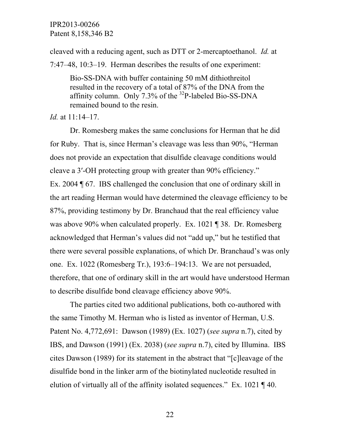cleaved with a reducing agent, such as DTT or 2-mercaptoethanol. *Id.* at 7:47–48, 10:3–19. Herman describes the results of one experiment:

Bio-SS-DNA with buffer containing 50 mM dithiothreitol resulted in the recovery of a total of 87% of the DNA from the affinity column. Only  $7.3\%$  of the  $^{32}P$ -labeled Bio-SS-DNA remained bound to the resin.

*Id.* at 11:14–17.

 Dr. Romesberg makes the same conclusions for Herman that he did for Ruby. That is, since Herman's cleavage was less than 90%, "Herman does not provide an expectation that disulfide cleavage conditions would cleave a 3ʹ-OH protecting group with greater than 90% efficiency." Ex. 2004 ¶ 67. IBS challenged the conclusion that one of ordinary skill in the art reading Herman would have determined the cleavage efficiency to be 87%, providing testimony by Dr. Branchaud that the real efficiency value was above 90% when calculated properly. Ex. 1021 ¶ 38. Dr. Romesberg acknowledged that Herman's values did not "add up," but he testified that there were several possible explanations, of which Dr. Branchaud's was only one. Ex. 1022 (Romesberg Tr.), 193:6–194:13. We are not persuaded, therefore, that one of ordinary skill in the art would have understood Herman to describe disulfide bond cleavage efficiency above 90%.

 The parties cited two additional publications, both co-authored with the same Timothy M. Herman who is listed as inventor of Herman, U.S. Patent No. 4,772,691: Dawson (1989) (Ex. 1027) (*see supra* n.7), cited by IBS, and Dawson (1991) (Ex. 2038) (*see supra* n.7), cited by Illumina. IBS cites Dawson (1989) for its statement in the abstract that "[c]leavage of the disulfide bond in the linker arm of the biotinylated nucleotide resulted in elution of virtually all of the affinity isolated sequences." Ex. 1021 ¶ 40.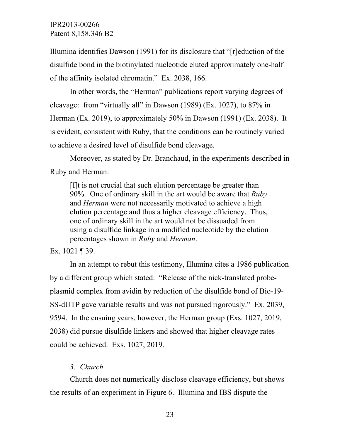Illumina identifies Dawson (1991) for its disclosure that "[r]eduction of the disulfide bond in the biotinylated nucleotide eluted approximately one-half of the affinity isolated chromatin." Ex. 2038, 166.

In other words, the "Herman" publications report varying degrees of cleavage: from "virtually all" in Dawson (1989) (Ex. 1027), to 87% in Herman (Ex. 2019), to approximately 50% in Dawson (1991) (Ex. 2038). It is evident, consistent with Ruby, that the conditions can be routinely varied to achieve a desired level of disulfide bond cleavage.

Moreover, as stated by Dr. Branchaud, in the experiments described in Ruby and Herman:

[I]t is not crucial that such elution percentage be greater than 90%. One of ordinary skill in the art would be aware that *Ruby* and *Herman* were not necessarily motivated to achieve a high elution percentage and thus a higher cleavage efficiency. Thus, one of ordinary skill in the art would not be dissuaded from using a disulfide linkage in a modified nucleotide by the elution percentages shown in *Ruby* and *Herman*.

# Ex. 1021 ¶ 39.

In an attempt to rebut this testimony, Illumina cites a 1986 publication by a different group which stated: "Release of the nick-translated probeplasmid complex from avidin by reduction of the disulfide bond of Bio-19- SS-dUTP gave variable results and was not pursued rigorously." Ex. 2039, 9594. In the ensuing years, however, the Herman group (Exs. 1027, 2019, 2038) did pursue disulfide linkers and showed that higher cleavage rates could be achieved. Exs. 1027, 2019.

# *3. Church*

Church does not numerically disclose cleavage efficiency, but shows the results of an experiment in Figure 6. Illumina and IBS dispute the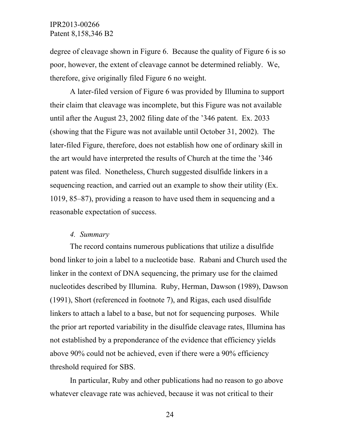degree of cleavage shown in Figure 6. Because the quality of Figure 6 is so poor, however, the extent of cleavage cannot be determined reliably. We, therefore, give originally filed Figure 6 no weight.

A later-filed version of Figure 6 was provided by Illumina to support their claim that cleavage was incomplete, but this Figure was not available until after the August 23, 2002 filing date of the '346 patent. Ex. 2033 (showing that the Figure was not available until October 31, 2002). The later-filed Figure, therefore, does not establish how one of ordinary skill in the art would have interpreted the results of Church at the time the '346 patent was filed. Nonetheless, Church suggested disulfide linkers in a sequencing reaction, and carried out an example to show their utility (Ex. 1019, 85–87), providing a reason to have used them in sequencing and a reasonable expectation of success.

#### *4. Summary*

 The record contains numerous publications that utilize a disulfide bond linker to join a label to a nucleotide base. Rabani and Church used the linker in the context of DNA sequencing, the primary use for the claimed nucleotides described by Illumina. Ruby, Herman, Dawson (1989), Dawson (1991), Short (referenced in footnote 7), and Rigas, each used disulfide linkers to attach a label to a base, but not for sequencing purposes. While the prior art reported variability in the disulfide cleavage rates, Illumina has not established by a preponderance of the evidence that efficiency yields above 90% could not be achieved, even if there were a 90% efficiency threshold required for SBS.

In particular, Ruby and other publications had no reason to go above whatever cleavage rate was achieved, because it was not critical to their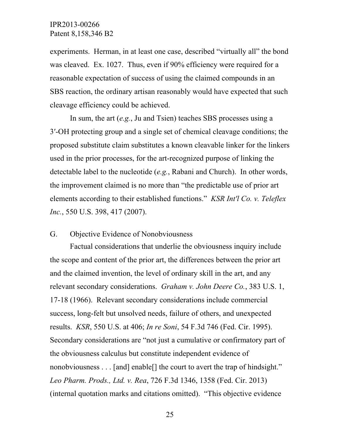experiments. Herman, in at least one case, described "virtually all" the bond was cleaved. Ex. 1027. Thus, even if 90% efficiency were required for a reasonable expectation of success of using the claimed compounds in an SBS reaction, the ordinary artisan reasonably would have expected that such cleavage efficiency could be achieved.

In sum, the art (*e.g.*, Ju and Tsien) teaches SBS processes using a 3ʹ-OH protecting group and a single set of chemical cleavage conditions; the proposed substitute claim substitutes a known cleavable linker for the linkers used in the prior processes, for the art-recognized purpose of linking the detectable label to the nucleotide (*e.g.*, Rabani and Church). In other words, the improvement claimed is no more than "the predictable use of prior art elements according to their established functions." *KSR Int'l Co. v. Teleflex Inc.*, 550 U.S. 398, 417 (2007).

## G. Objective Evidence of Nonobviousness

Factual considerations that underlie the obviousness inquiry include the scope and content of the prior art, the differences between the prior art and the claimed invention, the level of ordinary skill in the art, and any relevant secondary considerations. *Graham v. John Deere Co.*, 383 U.S. 1, 17-18 (1966). Relevant secondary considerations include commercial success, long-felt but unsolved needs, failure of others, and unexpected results. *KSR*, 550 U.S. at 406; *In re Soni*, 54 F.3d 746 (Fed. Cir. 1995). Secondary considerations are "not just a cumulative or confirmatory part of the obviousness calculus but constitute independent evidence of nonobviousness . . . [and] enable[] the court to avert the trap of hindsight." *Leo Pharm. Prods., Ltd. v. Rea*, 726 F.3d 1346, 1358 (Fed. Cir. 2013) (internal quotation marks and citations omitted). "This objective evidence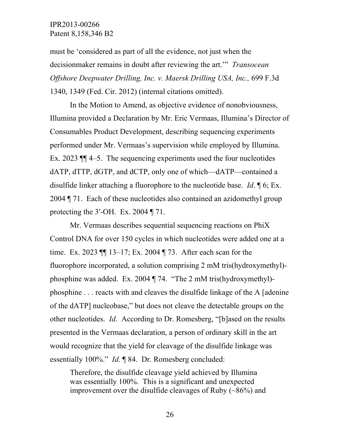must be 'considered as part of all the evidence, not just when the decisionmaker remains in doubt after reviewing the art.'" *Transocean Offshore Deepwater Drilling, Inc. v. Maersk Drilling USA, Inc.,* 699 F.3d 1340, 1349 (Fed. Cir. 2012) (internal citations omitted).

In the Motion to Amend, as objective evidence of nonobviousness, Illumina provided a Declaration by Mr. Eric Vermaas, Illumina's Director of Consumables Product Development, describing sequencing experiments performed under Mr. Vermaas's supervision while employed by Illumina. Ex. 2023 ¶¶ 4–5. The sequencing experiments used the four nucleotides dATP, dTTP, dGTP, and dCTP, only one of which—dATP—contained a disulfide linker attaching a fluorophore to the nucleotide base. *Id*. ¶ 6; Ex. 2004 ¶ 71. Each of these nucleotides also contained an azidomethyl group protecting the 3ʹ-OH. Ex. 2004 ¶ 71.

Mr. Vermaas describes sequential sequencing reactions on PhiX Control DNA for over 150 cycles in which nucleotides were added one at a time. Ex. 2023 ¶¶ 13–17; Ex. 2004 ¶ 73. After each scan for the fluorophore incorporated, a solution comprising 2 mM tris(hydroxymethyl) phosphine was added. Ex. 2004 ¶ 74. "The 2 mM tris(hydroxymethyl) phosphine . . . reacts with and cleaves the disulfide linkage of the A [adenine of the dATP] nucleobase," but does not cleave the detectable groups on the other nucleotides. *Id*. According to Dr. Romesberg, "[b]ased on the results presented in the Vermaas declaration, a person of ordinary skill in the art would recognize that the yield for cleavage of the disulfide linkage was essentially 100%." *Id*. ¶ 84. Dr. Romesberg concluded:

Therefore, the disulfide cleavage yield achieved by Illumina was essentially 100%. This is a significant and unexpected improvement over the disulfide cleavages of Ruby (~86%) and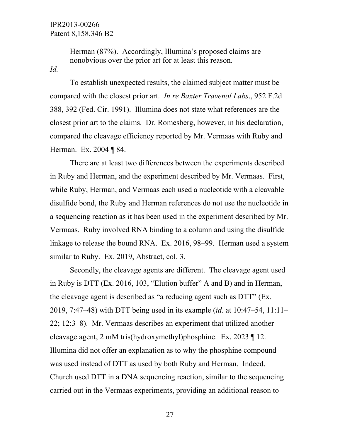Herman (87%). Accordingly, Illumina's proposed claims are nonobvious over the prior art for at least this reason.

*Id.* 

To establish unexpected results, the claimed subject matter must be compared with the closest prior art. *In re Baxter Travenol Labs*., 952 F.2d 388, 392 (Fed. Cir. 1991). Illumina does not state what references are the closest prior art to the claims. Dr. Romesberg, however, in his declaration, compared the cleavage efficiency reported by Mr. Vermaas with Ruby and Herman. Ex. 2004 ¶ 84.

There are at least two differences between the experiments described in Ruby and Herman, and the experiment described by Mr. Vermaas. First, while Ruby, Herman, and Vermaas each used a nucleotide with a cleavable disulfide bond, the Ruby and Herman references do not use the nucleotide in a sequencing reaction as it has been used in the experiment described by Mr. Vermaas. Ruby involved RNA binding to a column and using the disulfide linkage to release the bound RNA. Ex. 2016, 98–99. Herman used a system similar to Ruby. Ex. 2019, Abstract, col. 3.

Secondly, the cleavage agents are different. The cleavage agent used in Ruby is DTT (Ex. 2016, 103, "Elution buffer" A and B) and in Herman, the cleavage agent is described as "a reducing agent such as DTT" (Ex. 2019, 7:47–48) with DTT being used in its example (*id*. at 10:47–54, 11:11– 22; 12:3–8). Mr. Vermaas describes an experiment that utilized another cleavage agent, 2 mM tris(hydroxymethyl)phosphine. Ex. 2023 ¶ 12. Illumina did not offer an explanation as to why the phosphine compound was used instead of DTT as used by both Ruby and Herman. Indeed, Church used DTT in a DNA sequencing reaction, similar to the sequencing carried out in the Vermaas experiments, providing an additional reason to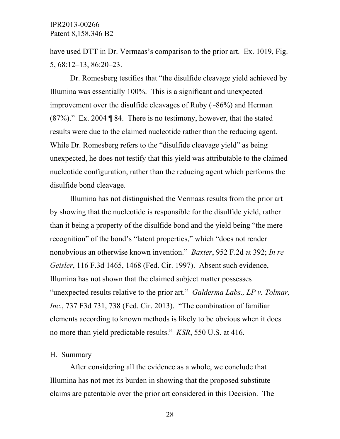have used DTT in Dr. Vermaas's comparison to the prior art. Ex. 1019, Fig. 5, 68:12–13, 86:20–23.

Dr. Romesberg testifies that "the disulfide cleavage yield achieved by Illumina was essentially 100%. This is a significant and unexpected improvement over the disulfide cleavages of Ruby (~86%) and Herman (87%)." Ex. 2004 ¶ 84. There is no testimony, however, that the stated results were due to the claimed nucleotide rather than the reducing agent. While Dr. Romesberg refers to the "disulfide cleavage yield" as being unexpected, he does not testify that this yield was attributable to the claimed nucleotide configuration, rather than the reducing agent which performs the disulfide bond cleavage.

Illumina has not distinguished the Vermaas results from the prior art by showing that the nucleotide is responsible for the disulfide yield, rather than it being a property of the disulfide bond and the yield being "the mere recognition" of the bond's "latent properties," which "does not render nonobvious an otherwise known invention." *Baxter*, 952 F.2d at 392; *In re Geisler*, 116 F.3d 1465, 1468 (Fed. Cir. 1997). Absent such evidence, Illumina has not shown that the claimed subject matter possesses "unexpected results relative to the prior art." *Galderma Labs., LP v. Tolmar, Inc*., 737 F3d 731, 738 (Fed. Cir. 2013). "The combination of familiar elements according to known methods is likely to be obvious when it does no more than yield predictable results." *KSR*, 550 U.S. at 416.

#### H. Summary

 After considering all the evidence as a whole, we conclude that Illumina has not met its burden in showing that the proposed substitute claims are patentable over the prior art considered in this Decision. The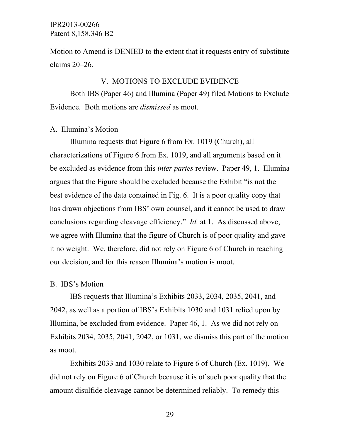Motion to Amend is DENIED to the extent that it requests entry of substitute claims 20–26.

#### V. MOTIONS TO EXCLUDE EVIDENCE

 Both IBS (Paper 46) and Illumina (Paper 49) filed Motions to Exclude Evidence. Both motions are *dismissed* as moot.

#### A. Illumina's Motion

 Illumina requests that Figure 6 from Ex. 1019 (Church), all characterizations of Figure 6 from Ex. 1019, and all arguments based on it be excluded as evidence from this *inter partes* review. Paper 49, 1. Illumina argues that the Figure should be excluded because the Exhibit "is not the best evidence of the data contained in Fig. 6. It is a poor quality copy that has drawn objections from IBS' own counsel, and it cannot be used to draw conclusions regarding cleavage efficiency." *Id.* at 1. As discussed above, we agree with Illumina that the figure of Church is of poor quality and gave it no weight. We, therefore, did not rely on Figure 6 of Church in reaching our decision, and for this reason Illumina's motion is moot.

#### B. IBS's Motion

 IBS requests that Illumina's Exhibits 2033, 2034, 2035, 2041, and 2042, as well as a portion of IBS's Exhibits 1030 and 1031 relied upon by Illumina, be excluded from evidence. Paper 46, 1. As we did not rely on Exhibits 2034, 2035, 2041, 2042, or 1031, we dismiss this part of the motion as moot.

 Exhibits 2033 and 1030 relate to Figure 6 of Church (Ex. 1019). We did not rely on Figure 6 of Church because it is of such poor quality that the amount disulfide cleavage cannot be determined reliably. To remedy this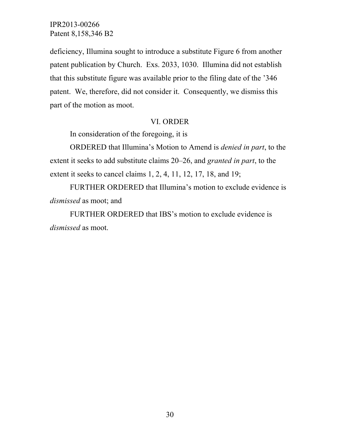deficiency, Illumina sought to introduce a substitute Figure 6 from another patent publication by Church. Exs. 2033, 1030. Illumina did not establish that this substitute figure was available prior to the filing date of the '346 patent. We, therefore, did not consider it. Consequently, we dismiss this part of the motion as moot.

#### VI. ORDER

In consideration of the foregoing, it is

 ORDERED that Illumina's Motion to Amend is *denied in part*, to the extent it seeks to add substitute claims 20–26, and *granted in part*, to the extent it seeks to cancel claims 1, 2, 4, 11, 12, 17, 18, and 19;

FURTHER ORDERED that Illumina's motion to exclude evidence is *dismissed* as moot; and

FURTHER ORDERED that IBS's motion to exclude evidence is *dismissed* as moot.